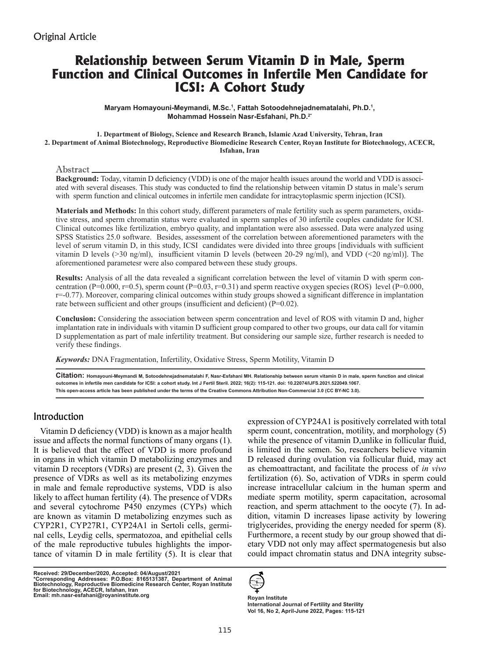# **Relationship between Serum Vitamin D in Male, Sperm Function and Clinical Outcomes in Infertile Men Candidate for ICSI: A Cohort Study**

**Maryam Homayouni-Meymandi, M.Sc.1 , Fattah Sotoodehnejadnematalahi, Ph.D.1 , Mohammad Hossein Nasr-Esfahani, Ph.D.2\***

#### **1. Department of Biology, Science and Research Branch, Islamic Azad University, Tehran, Iran 2. Department of Animal Biotechnology, Reproductive Biomedicine Research Center, Royan Institute for Biotechnology, ACECR, Isfahan, Iran**

#### Abstract

**Background:** Today, vitamin D deficiency (VDD) is one of the major health issues around the world and VDD is associated with several diseases. This study was conducted to find the relationship between vitamin D status in male's serum with sperm function and clinical outcomes in infertile men candidate for intracytoplasmic sperm injection (ICSI).

**Materials and Methods:** In this cohort study, different parameters of male fertility such as sperm parameters, oxidative stress, and sperm chromatin status were evaluated in sperm samples of 30 infertile couples candidate for ICSI. Clinical outcomes like fertilization, embryo quality, and implantation were also assessed. Data were analyzed using SPSS Statistics 25.0 software. Besides, assessment of the correlation between aforementioned parameters with the level of serum vitamin D, in this study, ICSI candidates were divided into three groups [individuals with sufficient vitamin D levels (>30 ng/ml), insufficient vitamin D levels (between 20-29 ng/ml), and VDD (<20 ng/ml)]. The aforementioned parametesr were also compared between these study groups.

**Results:** Analysis of all the data revealed a significant correlation between the level of vitamin D with sperm concentration (P=0.000, r=0.5), sperm count (P=0.03, r=0.31) and sperm reactive oxygen species (ROS) level (P=0.000, r=-0.77). Moreover, comparing clinical outcomes within study groups showed a significant difference in implantation rate between sufficient and other groups (insufficient and deficient) (P=0.02).

**Conclusion:** Considering the association between sperm concentration and level of ROS with vitamin D and, higher implantation rate in individuals with vitamin D sufficient group compared to other two groups, our data call for vitamin D supplementation as part of male infertility treatment. But considering our sample size, further research is needed to verify these findings.

*Keywords:* DNA Fragmentation, Infertility, Oxidative Stress, Sperm Motility, Vitamin D

**Citation: Homayouni-Meymandi M, Sotoodehnejadnematalahi F, Nasr-Esfahani MH. Relationship between serum vitamin D in male, sperm function and clinical outcomes in infertile men candidate for ICSI: a cohort study. Int J Fertil Steril. 2022; 16(2): 115-121. doi: 10.22074/IJFS.2021.522049.1067. This open-access article has been published under the terms of the Creative Commons Attribution Non-Commercial 3.0 (CC BY-NC 3.0).**

# Introduction

Vitamin D deficiency (VDD) is known as a major health issue and affects the normal functions of many organs (1). It is believed that the effect of VDD is more profound in organs in which vitamin D metabolizing enzymes and vitamin D receptors (VDRs) are present (2, 3). Given the presence of VDRs as well as its metabolizing enzymes in male and female reproductive systems, VDD is also likely to affect human fertility (4). The presence of VDRs and several cytochrome P450 enzymes (CYPs) which are known as vitamin D metabolizing enzymes such as CYP2R1, CYP27R1, CYP24A1 in Sertoli cells, germinal cells, Leydig cells, spermatozoa, and epithelial cells of the male reproductive tubules highlights the importance of vitamin D in male fertility (5). It is clear that

**Received: 29/December/2020, Accepted: 04/August/2021 \*Corresponding Addresses: P.O.Box: 8165131387, Department of Animal Biotechnology, Reproductive Biomedicine Research Center, Royan Institute for Biotechnology, ACECR, Isfahan, Iran Email: mh.nasr-esfahani@royaninstitute.org Royan Institute**

as chemoattractant, and facilitate the process of *in vivo*  fertilization (6). So, activation of VDRs in sperm could increase intracellular calcium in the human sperm and mediate sperm motility, sperm capacitation, acrosomal reaction, and sperm attachment to the oocyte (7). In addition, vitamin D increases lipase activity by lowering triglycerides, providing the energy needed for sperm (8). Furthermore, a recent study by our group showed that dietary VDD not only may affect spermatogenesis but also could impact chromatin status and DNA integrity subse-

expression of CYP24A1 is positively correlated with total sperm count, concentration, motility, and morphology (5) while the presence of vitamin D,unlike in follicular fluid, is limited in the semen. So, researchers believe vitamin D released during ovulation via follicular fluid, may act



**International Journal of Fertility and Sterility Vol 16, No 2, April-June 2022, Pages: 115-121**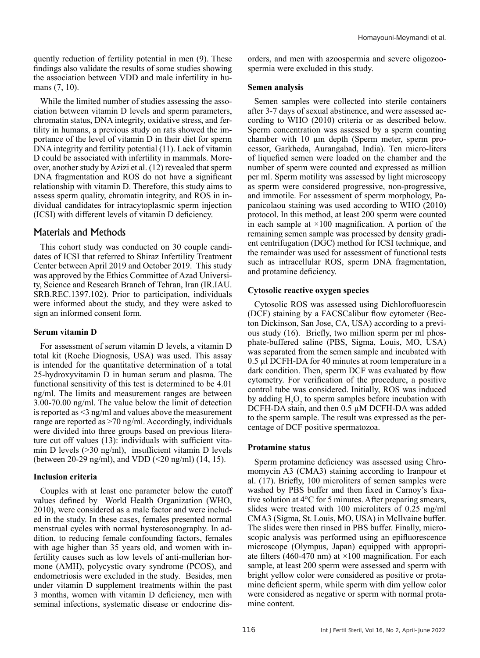quently reduction of fertility potential in men (9). These findings also validate the results of some studies showing the association between VDD and male infertility in humans (7, 10).

While the limited number of studies assessing the association between vitamin D levels and sperm parameters, chromatin status, DNA integrity, oxidative stress, and fertility in humans, a previous study on rats showed the importance of the level of vitamin D in their diet for sperm DNA integrity and fertility potential (11). Lack of vitamin D could be associated with infertility in mammals. Moreover, another study by Azizi et al. (12) revealed that sperm DNA fragmentation and ROS do not have a significant relationship with vitamin D. Therefore, this study aims to assess sperm quality, chromatin integrity, and ROS in individual candidates for intracytoplasmic sperm injection (ICSI) with different levels of vitamin D deficiency.

# Materials and Methods

This cohort study was conducted on 30 couple candidates of ICSI that referred to Shiraz Infertility Treatment Center between April 2019 and October 2019. This study was approved by the Ethics Committee of Azad University, Science and Research Branch of Tehran, Iran (IR.IAU. SRB.REC.1397.102). Prior to participation, individuals were informed about the study, and they were asked to sign an informed consent form.

## **Serum vitamin D**

For assessment of serum vitamin D levels, a vitamin D total kit (Roche Diognosis, USA) was used. This assay is intended for the quantitative determination of a total 25-hydroxyvitamin D in human serum and plasma. The functional sensitivity of this test is determined to be 4.01 ng/ml. The limits and measurement ranges are between 3.00-70.00 ng/ml. The value below the limit of detection is reported as <3 ng/ml and values above the measurement range are reported as >70 ng/ml. Accordingly, individuals were divided into three groups based on previous literature cut off values (13): individuals with sufficient vitamin D levels (>30 ng/ml), insufficient vitamin D levels (between 20-29 ng/ml), and VDD (<20 ng/ml) (14, 15).

# **Inclusion criteria**

Couples with at least one parameter below the cutoff values defined by World Health Organization (WHO, 2010), were considered as a male factor and were included in the study. In these cases, females presented normal menstrual cycles with normal hysterosonography. In addition, to reducing female confounding factors, females with age higher than 35 years old, and women with infertility causes such as low levels of anti-mullerian hormone (AMH), polycystic ovary syndrome (PCOS), and endometriosis were excluded in the study. Besides, men under vitamin D supplement treatments within the past 3 months, women with vitamin D deficiency, men with seminal infections, systematic disease or endocrine dis-

orders, and men with azoospermia and severe oligozoospermia were excluded in this study.

## **Semen analysis**

Semen samples were collected into sterile containers after 3-7 days of sexual abstinence, and were assessed according to WHO (2010) criteria or as described below. Sperm concentration was assessed by a sperm counting chamber with 10 µm depth (Sperm meter, sperm processor, Garkheda, Aurangabad, India). Ten micro-liters of liquefied semen were loaded on the chamber and the number of sperm were counted and expressed as million per ml. Sperm motility was assessed by light microscopy as sperm were considered progressive, non-progressive, and immotile. For assessment of sperm morphology, Papanicolaou staining was used according to WHO (2010) protocol. In this method, at least 200 sperm were counted in each sample at  $\times 100$  magnification. A portion of the remaining semen sample was processed by density gradient centrifugation (DGC) method for ICSI technique, and the remainder was used for assessment of functional tests such as intracellular ROS, sperm DNA fragmentation, and protamine deficiency.

## **Cytosolic reactive oxygen species**

Cytosolic ROS was assessed using Dichlorofluorescin (DCF) staining by a FACSCalibur flow cytometer (Becton Dickinson, San Jose, CA, USA) according to a previous study (16). Briefly, two million sperm per ml phosphate-buffered saline (PBS, Sigma, Louis, MO, USA) was separated from the semen sample and incubated with 0.5 µl DCFH-DA for 40 minutes at room temperature in a dark condition. Then, sperm DCF was evaluated by flow cytometry. For verification of the procedure, a positive control tube was considered. Initially, ROS was induced by adding  $H_2O_2$  to sperm samples before incubation with DCFH-DA stain, and then 0.5 µM DCFH-DA was added to the sperm sample. The result was expressed as the percentage of DCF positive spermatozoa.

## **Protamine status**

Sperm protamine deficiency was assessed using Chromomycin A3 (CMA3) staining according to Iranpour et al. (17). Briefly, 100 microliters of semen samples were washed by PBS buffer and then fixed in Carnoy's fixative solution at 4°C for 5 minutes. After preparing smears, slides were treated with 100 microliters of 0.25 mg/ml CMA3 (Sigma, St. Louis, MO, USA) in McIlvaine buffer. The slides were then rinsed in PBS buffer. Finally, microscopic analysis was performed using an epifluorescence microscope (Olympus, Japan) equipped with appropriate filters (460-470 nm) at  $\times$ 100 magnification. For each sample, at least 200 sperm were assessed and sperm with bright yellow color were considered as positive or protamine deficient sperm, while sperm with dim yellow color were considered as negative or sperm with normal protamine content.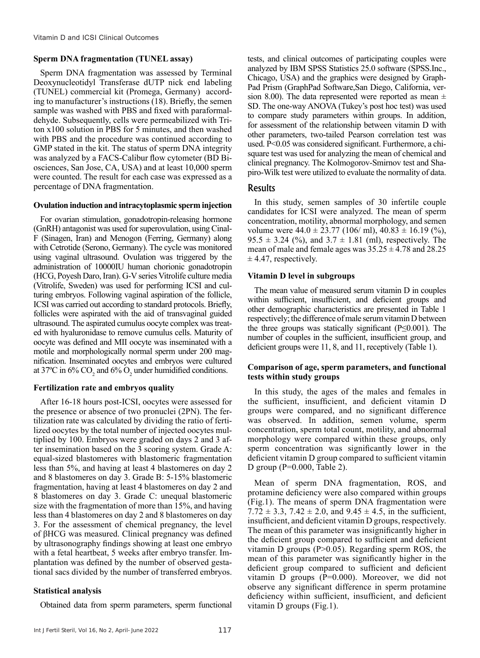#### **Sperm DNA fragmentation (TUNEL assay)**

Sperm DNA fragmentation was assessed by Terminal Deoxynucleotidyl Transferase dUTP nick end labeling (TUNEL) commercial kit (Promega, Germany) according to manufacturer's instructions (18). Briefly, the semen sample was washed with PBS and fixed with paraformaldehyde. Subsequently, cells were permeabilized with Triton x100 solution in PBS for 5 minutes, and then washed with PBS and the procedure was continued according to GMP stated in the kit. The status of sperm DNA integrity was analyzed by a FACS-Calibur flow cytometer (BD Biosciences, San Jose, CA, USA) and at least 10,000 sperm were counted. The result for each case was expressed as a percentage of DNA fragmentation.

#### **Ovulation induction and intracytoplasmic sperm injection**

For ovarian stimulation, gonadotropin-releasing hormone (GnRH) antagonist was used for superovulation, using Cinal-F (Sinagen, Iran) and Menogon (Ferring, Germany) along with Cetrotide (Serono, Germany). The cycle was monitored using vaginal ultrasound. Ovulation was triggered by the administration of 10000IU human chorionic gonadotropin (HCG, Poyesh Daro, Iran). G-V series Vitrolife culture media (Vitrolife, Sweden) was used for performing ICSI and culturing embryos. Following vaginal aspiration of the follicle, ICSI was carried out according to standard protocols. Briefly, follicles were aspirated with the aid of transvaginal guided ultrasound. The aspirated cumulus oocyte complex was treated with hyaluronidase to remove cumulus cells. Maturity of oocyte was defined and MII oocyte was inseminated with a motile and morphologically normal sperm under 200 magnification. Inseminated oocytes and embryos were cultured at 37°C in 6% CO<sub>2</sub> and 6% O<sub>2</sub> under humidified conditions.

## **Fertilization rate and embryos quality**

After 16-18 hours post-ICSI, oocytes were assessed for the presence or absence of two pronuclei (2PN). The fertilization rate was calculated by dividing the ratio of fertilized oocytes by the total number of injected oocytes multiplied by 100. Embryos were graded on days 2 and 3 after insemination based on the 3 scoring system. Grade A: equal-sized blastomeres with blastomeric fragmentation less than 5%, and having at least 4 blastomeres on day 2 and 8 blastomeres on day 3. Grade B: 5-15% blastomeric fragmentation, having at least 4 blastomeres on day 2 and 8 blastomeres on day 3. Grade C: unequal blastomeric size with the fragmentation of more than 15%, and having less than 4 blastomeres on day 2 and 8 blastomeres on day 3. For the assessment of chemical pregnancy, the level of βHCG was measured. Clinical pregnancy was defined by ultrasonography findings showing at least one embryo with a fetal heartbeat, 5 weeks after embryo transfer. Implantation was defined by the number of observed gestational sacs divided by the number of transferred embryos.

## **Statistical analysis**

Obtained data from sperm parameters, sperm functional

tests, and clinical outcomes of participating couples were analyzed by IBM SPSS Statistics 25.0 software (SPSS.Inc., Chicago, USA) and the graphics were designed by Graph-Pad Prism (GraphPad Software,San Diego, California, version 8.00). The data represented were reported as mean  $\pm$ SD. The one-way ANOVA (Tukey's post hoc test) was used to compare study parameters within groups. In addition, for assessment of the relationship between vitamin D with other parameters, two-tailed Pearson correlation test was used. P<0.05 was considered significant. Furthermore, a chisquare test was used for analyzing the mean of chemical and clinical pregnancy. The Kolmogorov-Smirnov test and Shapiro-Wilk test were utilized to evaluate the normality of data.

## Results

In this study, semen samples of 30 infertile couple candidates for ICSI were analyzed. The mean of sperm concentration, motility, abnormal morphology, and semen volume were  $44.0 \pm 23.77$  (106/ ml),  $40.83 \pm 16.19$  (%),  $95.5 \pm 3.24$  (%), and  $3.7 \pm 1.81$  (ml), respectively. The mean of male and female ages was  $35.25 \pm 4.78$  and  $28.25$  $± 4.47$ , respectively.

#### **Vitamin D level in subgroups**

The mean value of measured serum vitamin D in couples within sufficient, insufficient, and deficient groups and other demographic characteristics are presented in Table 1 respectively; the difference of male serum vitamin D between the three groups was statically significant  $(P \le 0.001)$ . The number of couples in the sufficient, insufficient group, and deficient groups were 11, 8, and 11, receptively (Table 1).

#### **Comparison of age, sperm parameters, and functional tests within study groups**

In this study, the ages of the males and females in the sufficient, insufficient, and deficient vitamin D groups were compared, and no significant difference was observed. In addition, semen volume, sperm concentration, sperm total count, motility, and abnormal morphology were compared within these groups, only sperm concentration was significantly lower in the deficient vitamin D group compared to sufficient vitamin D group (P=0.000, Table 2).

Mean of sperm DNA fragmentation, ROS, and protamine deficiency were also compared within groups (Fig.1). The means of sperm DNA fragmentation were  $7.72 \pm 3.3$ ,  $7.42 \pm 2.0$ , and  $9.45 \pm 4.5$ , in the sufficient, insufficient, and deficient vitamin D groups, respectively. The mean of this parameter was insignificantly higher in the deficient group compared to sufficient and deficient vitamin D groups (P>0.05). Regarding sperm ROS, the mean of this parameter was significantly higher in the deficient group compared to sufficient and deficient vitamin D groups (P=0.000). Moreover, we did not observe any significant difference in sperm protamine deficiency within sufficient, insufficient, and deficient vitamin D groups (Fig.1).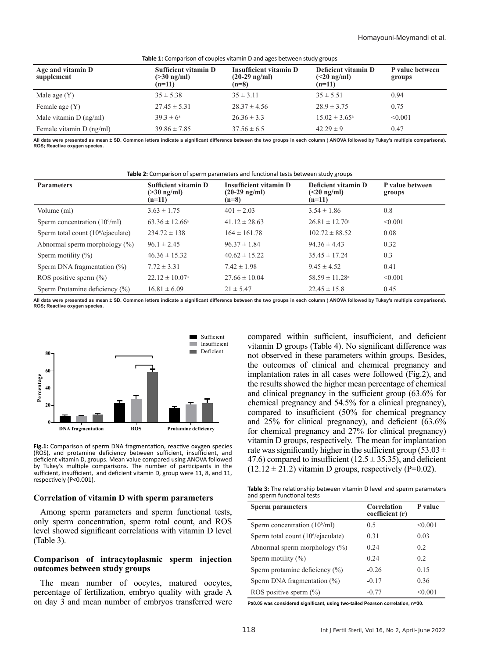| <b>Table 1:</b> Comparison of couples vitamin D and ages between study groups |                                                              |                                                                     |                                                  |                           |
|-------------------------------------------------------------------------------|--------------------------------------------------------------|---------------------------------------------------------------------|--------------------------------------------------|---------------------------|
| Age and vitamin D<br>supplement                                               | <b>Sufficient vitamin D</b><br>$($ >30 ng/ml $)$<br>$(n=11)$ | <b>Insufficient vitamin D</b><br>$(20-29 \text{ ng/ml})$<br>$(n=8)$ | Deficient vitamin D<br>$(<20$ ng/ml)<br>$(n=11)$ | P value between<br>groups |
| Male age $(Y)$                                                                | $35 \pm 5.38$                                                | $35 \pm 3.11$                                                       | $35 \pm 5.51$                                    | 0.94                      |
| Female age $(Y)$                                                              | $27.45 \pm 5.31$                                             | $28.37 \pm 4.56$                                                    | $28.9 \pm 3.75$                                  | 0.75                      |
| Male vitamin $D$ (ng/ml)                                                      | $39.3 \pm 6^a$                                               | $26.36 \pm 3.3$                                                     | $15.02 \pm 3.65^{\circ}$                         | < 0.001                   |
| Female vitamin D (ng/ml)                                                      | $39.86 \pm 7.85$                                             | $37.56 \pm 6.5$                                                     | $42.29 \pm 9$                                    | 0.47                      |

**All data were presented as mean ± SD. Common letters indicate a significant difference between the two groups in each column ( ANOVA followed by Tukey's multiple comparisons). ROS; Reactive oxygen species.**

| <b>Table 2:</b> Comparison of sperm parameters and functional tests between study groups |                                                              |                                                                     |                                                  |                           |  |
|------------------------------------------------------------------------------------------|--------------------------------------------------------------|---------------------------------------------------------------------|--------------------------------------------------|---------------------------|--|
| <b>Parameters</b>                                                                        | <b>Sufficient vitamin D</b><br>$($ >30 ng/ml $)$<br>$(n=11)$ | <b>Insufficient vitamin D</b><br>$(20-29 \text{ ng/ml})$<br>$(n=8)$ | Deficient vitamin D<br>$(<20$ ng/ml)<br>$(n=11)$ | P value between<br>groups |  |
| Volume (ml)                                                                              | $3.63 \pm 1.75$                                              | $401 \pm 2.03$                                                      | $3.54 \pm 1.86$                                  | 0.8                       |  |
| Sperm concentration $(10^6\text{/ml})$                                                   | $63.36 \pm 12.66^{\circ}$                                    | $41.12 \pm 28.63$                                                   | $26.81 \pm 12.70^{\circ}$                        | < 0.001                   |  |
| Sperm total count $(106/e^{\alpha})$                                                     | $234.72 \pm 138$                                             | $164 \pm 161.78$                                                    | $102.72 \pm 88.52$                               | 0.08                      |  |
| Abnormal sperm morphology $(\%)$                                                         | $96.1 \pm 2.45$                                              | $96.37 \pm 1.84$                                                    | $94.36 \pm 4.43$                                 | 0.32                      |  |
| Sperm motility $(\% )$                                                                   | $46.36 \pm 15.32$                                            | $40.62 \pm 15.22$                                                   | $35.45 \pm 17.24$                                | 0.3                       |  |
| Sperm DNA fragmentation $(\% )$                                                          | $7.72 \pm 3.31$                                              | $7.42 \pm 1.98$                                                     | $9.45 \pm 4.52$                                  | 0.41                      |  |
| ROS positive sperm $(\% )$                                                               | $22.12 \pm 10.07^{\circ}$                                    | $27.66 \pm 10.04$                                                   | $58.59 \pm 11.28$ <sup>a</sup>                   | < 0.001                   |  |
| Sperm Protamine deficiency $(\% )$                                                       | $16.81 \pm 6.09$                                             | $21 \pm 5.47$                                                       | $22.45 \pm 15.8$                                 | 0.45                      |  |

**All data were presented as mean ± SD. Common letters indicate a significant difference between the two groups in each column ( ANOVA followed by Tukey's multiple comparisons). ROS; Reactive oxygen species.**



**Fig.1:** Comparison of sperm DNA fragmentation, reactive oxygen species (ROS), and protamine deficiency between sufficient, insufficient, and deficient vitamin D, groups. Mean value compared using ANOVA followed by Tukey's multiple comparisons. The number of participants in the sufficient, insufficient, and deficient vitamin D, group were 11, 8, and 11, respectively (P<0.001).

#### **Correlation of vitamin D with sperm parameters**

Among sperm parameters and sperm functional tests, only sperm concentration, sperm total count, and ROS level showed significant correlations with vitamin D level (Table 3).

#### **Comparison of intracytoplasmic sperm injection outcomes between study groups**

The mean number of oocytes, matured oocytes, percentage of fertilization, embryo quality with grade A on day 3 and mean number of embryos transferred were compared within sufficient, insufficient, and deficient vitamin D groups (Table 4). No significant difference was not observed in these parameters within groups. Besides, the outcomes of clinical and chemical pregnancy and implantation rates in all cases were followed (Fig.2), and the results showed the higher mean percentage of chemical and clinical pregnancy in the sufficient group (63.6% for chemical pregnancy and 54.5% for a clinical pregnancy), compared to insufficient (50% for chemical pregnancy and 25% for clinical pregnancy), and deficient (63.6% for chemical pregnancy and 27% for clinical pregnancy) vitamin D groups, respectively. The mean for implantation rate was significantly higher in the sufficient group (53.03  $\pm$ 47.6) compared to insufficient (12.5  $\pm$  35.35), and deficient  $(12.12 \pm 21.2)$  vitamin D groups, respectively (P=0.02).

**Table 3:** The relationship between vitamin D level and sperm parameters and sperm functional tests

| <b>Sperm parameters</b>                | <b>Correlation</b><br>coefficient (r) | P value |
|----------------------------------------|---------------------------------------|---------|
| Sperm concentration $(10^6/\text{ml})$ | 0.5                                   | < 0.001 |
| Sperm total count $(106/e^{\theta})$   | 0.31                                  | 0.03    |
| Abnormal sperm morphology $(\%)$       | 0.24                                  | 0.2     |
| Sperm motility $(\% )$                 | 0.24                                  | 02      |
| Sperm protamine deficiency $(\%)$      | $-0.26$                               | 0.15    |
| Sperm DNA fragmentation $(\%)$         | $-0.17$                               | 0.36    |
| ROS positive sperm $(\% )$             | $-0.77$                               | < 0.001 |

**P≤0.05 was considered significant, using two-tailed Pearson correlation, n=30.**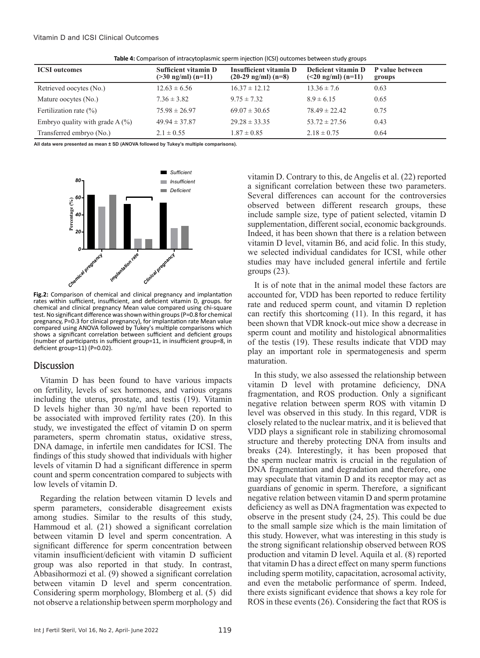| Table 4: Comparison of intracytoplasmic sperm injection (ICSI) outcomes between study groups |  |  |  |  |
|----------------------------------------------------------------------------------------------|--|--|--|--|
|----------------------------------------------------------------------------------------------|--|--|--|--|

| <b>ICSI</b> outcomes              | <b>Sufficient vitamin D</b><br>$($ >30 ng/ml $)$ (n=11) | <b>Insufficient vitamin D</b><br>$(20-29 \text{ ng/ml}) (n=8)$ | Deficient vitamin D<br>$(<20$ ng/ml) (n=11) | P value between<br>groups |
|-----------------------------------|---------------------------------------------------------|----------------------------------------------------------------|---------------------------------------------|---------------------------|
| Retrieved oocytes (No.)           | $12.63 \pm 6.56$                                        | $16.37 \pm 12.12$                                              | $13.36 \pm 7.6$                             | 0.63                      |
| Mature oocytes (No.)              | $7.36 \pm 3.82$                                         | $9.75 \pm 7.32$                                                | $8.9 \pm 6.15$                              | 0.65                      |
| Fertilization rate $(\% )$        | $75.98 \pm 26.97$                                       | $69.07 \pm 30.65$                                              | $78.49 \pm 22.42$                           | 0.75                      |
| Embryo quality with grade $A(\%)$ | $49.94 \pm 37.87$                                       | $29.28 \pm 33.35$                                              | $53.72 \pm 27.56$                           | 0.43                      |
| Transferred embryo (No.)          | $2.1 \pm 0.55$                                          | $1.87 \pm 0.85$                                                | $2.18 \pm 0.75$                             | 0.64                      |

**All data were presented as mean ± SD (ANOVA followed by Tukey's multiple comparisons).** 



*Chemical Reformation*<br> *Chemical* and clinical pregnancy<br> *Implantation*<br> *Implantation*<br> *Clinical pregnancy* Mean value con **Fig.2:** Comparison of chemical and clinical pregnancy and implantation rates within sufficient, insufficient, and deficient vitamin D, groups. for chemical and clinical pregnancy Mean value compared using chi-square test. No significant difference was shown within groups (P=0.8 for chemical pregnancy, P=0.3 for clinical pregnancy), for implantation rate Mean value compared using ANOVA followed by Tukey's multiple comparisons which shows a significant correlation between sufficient and deficient groups (number of participants in sufficient group=11, in insufficient group=8, in deficient group=11) (P=0.02).

## **Discussion**

Vitamin D has been found to have various impacts on fertility, levels of sex hormones, and various organs including the uterus, prostate, and testis (19). Vitamin D levels higher than 30 ng/ml have been reported to be associated with improved fertility rates (20). In this study, we investigated the effect of vitamin D on sperm parameters, sperm chromatin status, oxidative stress, DNA damage, in infertile men candidates for ICSI. The findings of this study showed that individuals with higher levels of vitamin D had a significant difference in sperm count and sperm concentration compared to subjects with low levels of vitamin D.

Regarding the relation between vitamin D levels and sperm parameters, considerable disagreement exists among studies. Similar to the results of this study, Hammoud et al. (21) showed a significant correlation between vitamin D level and sperm concentration. A significant difference for sperm concentration between vitamin insufficient/deficient with vitamin D sufficient group was also reported in that study. In contrast, Abbasihormozi et al. (9) showed a significant correlation between vitamin D level and sperm concentration. Considering sperm morphology, Blomberg et al. (5) did not observe a relationship between sperm morphology and

vitamin D. Contrary to this, de Angelis et al. (22) reported a significant correlation between these two parameters. Several differences can account for the controversies observed between different research groups, these include sample size, type of patient selected, vitamin D supplementation, different social, economic backgrounds. Indeed, it has been shown that there is a relation between vitamin D level, vitamin B6, and acid folic. In this study, we selected individual candidates for ICSI, while other studies may have included general infertile and fertile groups (23).

It is of note that in the animal model these factors are accounted for, VDD has been reported to reduce fertility rate and reduced sperm count, and vitamin D repletion can rectify this shortcoming (11). In this regard, it has been shown that VDR knock-out mice show a decrease in sperm count and motility and histological abnormalities of the testis (19). These results indicate that VDD may play an important role in spermatogenesis and sperm maturation.

In this study, we also assessed the relationship between vitamin D level with protamine deficiency, DNA fragmentation, and ROS production. Only a significant negative relation between sperm ROS with vitamin D level was observed in this study. In this regard, VDR is closely related to the nuclear matrix, and it is believed that VDD plays a significant role in stabilizing chromosomal structure and thereby protecting DNA from insults and breaks (24). Interestingly, it has been proposed that the sperm nuclear matrix is crucial in the regulation of DNA fragmentation and degradation and therefore, one may speculate that vitamin D and its receptor may act as guardians of genomic in sperm. Therefore, a significant negative relation between vitamin D and sperm protamine deficiency as well as DNA fragmentation was expected to observe in the present study (24, 25). This could be due to the small sample size which is the main limitation of this study. However, what was interesting in this study is the strong significant relationship observed between ROS production and vitamin D level. Aquila et al. (8) reported that vitamin D has a direct effect on many sperm functions including sperm motility, capacitation, acrosomal activity, and even the metabolic performance of sperm. Indeed, there exists significant evidence that shows a key role for ROS in these events (26). Considering the fact that ROS is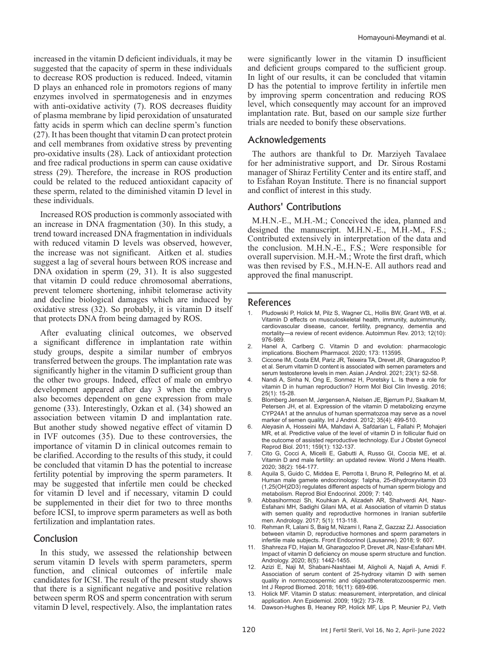increased in the vitamin D deficient individuals, it may be suggested that the capacity of sperm in these individuals to decrease ROS production is reduced. Indeed, vitamin D plays an enhanced role in promotors regions of many enzymes involved in spermatogenesis and in enzymes with anti-oxidative activity (7). ROS decreases fluidity of plasma membrane by lipid peroxidation of unsaturated fatty acids in sperm which can decline sperm's function (27). It has been thought that vitamin D can protect protein and cell membranes from oxidative stress by preventing pro-oxidative insults (28). Lack of antioxidant protection and free radical productions in sperm can cause oxidative stress (29). Therefore, the increase in ROS production could be related to the reduced antioxidant capacity of these sperm, related to the diminished vitamin D level in these individuals.

Increased ROS production is commonly associated with an increase in DNA fragmentation (30). In this study, a trend toward increased DNA fragmentation in individuals with reduced vitamin D levels was observed, however, the increase was not significant. Aitken et al. studies suggest a lag of several hours between ROS increase and DNA oxidation in sperm (29, 31). It is also suggested that vitamin D could reduce chromosomal aberrations, prevent telomere shortening, inhibit telomerase activity and decline biological damages which are induced by oxidative stress (32). So probably, it is vitamin D itself that protects DNA from being damaged by ROS.

After evaluating clinical outcomes, we observed a significant difference in implantation rate within study groups, despite a similar number of embryos transferred between the groups. The implantation rate was significantly higher in the vitamin D sufficient group than the other two groups. Indeed, effect of male on embryo development appeared after day 3 when the embryo also becomes dependent on gene expression from male genome (33). Interestingly, Ozkan et al. (34) showed an association between vitamin D and implantation rate. But another study showed negative effect of vitamin D in IVF outcomes (35). Due to these controversies, the importance of vitamin D in clinical outcomes remain to be clarified. According to the results of this study, it could be concluded that vitamin D has the potential to increase fertility potential by improving the sperm parameters. It may be suggested that infertile men could be checked for vitamin D level and if necessary, vitamin D could be supplemented in their diet for two to three months before ICSI, to improve sperm parameters as well as both fertilization and implantation rates.

## **Conclusion**

In this study, we assessed the relationship between serum vitamin D levels with sperm parameters, sperm function, and clinical outcomes of infertile male candidates for ICSI. The result of the present study shows that there is a significant negative and positive relation between sperm ROS and sperm concentration with serum vitamin D level, respectively. Also, the implantation rates

were significantly lower in the vitamin D insufficient and deficient groups compared to the sufficient group. In light of our results, it can be concluded that vitamin D has the potential to improve fertility in infertile men by improving sperm concentration and reducing ROS level, which consequently may account for an improved implantation rate. But, based on our sample size further trials are needed to bonify these observations.

## Acknowledgements

The authors are thankful to Dr. Marziyeh Tavalaee for her administrative support, and Dr. Sirous Rostami manager of Shiraz Fertility Center and its entire staff, and to Esfahan Royan Institute. There is no financial support and conflict of interest in this study.

# Authors' Contributions

M.H.N.-E., M.H.-M.; Conceived the idea, planned and designed the manuscript. M.H.N.-E., M.H.-M., F.S.; Contributed extensively in interpretation of the data and the conclusion. M.H.N.-E., F.S.; Were responsible for overall supervision. M.H.-M.; Wrote the first draft, which was then revised by F.S., M.H.N-E. All authors read and approved the final manuscript.

#### References

- 1. Pludowski P, Holick M, Pilz S, Wagner CL, Hollis BW, Grant WB, et al. Vitamin D effects on musculoskeletal health, immunity, autoimmunity, cardiovascular disease, cancer, fertility, pregnancy, dementia and<br>mortality—a review of recent evidence. Autoimmun Rev. 2013: 12(10): a review of recent evidence. Autoimmun Rev. 2013; 12(10): 976-989.
- 2. Hanel A, Carlberg C. Vitamin D and evolution: pharmacologic implications. Biochem Pharmacol. 2020; 173: 113595.
- 3. Ciccone IM, Costa EM, Pariz JR, Teixeira TA, Drevet JR, Gharagozloo P, et al. Serum vitamin D content is associated with semen parameters and serum testosterone levels in men. Asian J Androl. 2021; 23(1): 52-58.
- 4. Nandi A, Sinha N, Ong E, Sonmez H, Poretsky L. Is there a role for vitamin D in human reproduction? Horm Mol Biol Clin Investig. 2016; 25(1): 15-28.
- 5. Blomberg Jensen M, Jørgensen A, Nielsen JE, Bjerrum PJ, Skalkam M, Petersen JH, et al. Expression of the vitamin D metabolizing enzyme CYP24A1 at the annulus of human spermatozoa may serve as a novel marker of semen quality. Int J Androl. 2012; 35(4): 499-510.
- 6. Aleyasin A, Hosseini MA, Mahdavi A, Safdarian L, Fallahi P, Mohajeri MR, et al. Predictive value of the level of vitamin D in follicular fluid on the outcome of assisted reproductive technology. Eur J Obstet Gynecol Reprod Biol. 2011; 159(1): 132-137.
- 7. Cito G, Cocci A, Micelli E, Gabutti A, Russo GI, Coccia ME, et al. Vitamin D and male fertility: an updated review. World J Mens Health. 2020; 38(2): 164-177.
- Aquila S, Guido C, Middea E, Perrotta I, Bruno R, Pellegrino M, et al. Human male gamete endocrinology: 1alpha, 25-dihydroxyvitamin D3 (1,25(OH)2D3) regulates different aspects of human sperm biology and metabolism. Reprod Biol Endocrinol. 2009; 7: 140.
- 9. Abbasihormozi Sh, Kouhkan A, Alizadeh AR, Shahverdi AH, Nasr-Esfahani MH, Sadighi Gilani MA, et al. Association of vitamin D status with semen quality and reproductive hormones in Iranian subfertile men. Andrology. 2017; 5(1): 113-118.
- 10. Rehman R, Lalani S, Baig M, Nizami I, Rana Z, Gazzaz ZJ. Association between vitamin D, reproductive hormones and sperm parameters in infertile male subjects. Front Endocrinol (Lausanne). 2018; 9: 607.
- 11. Shahreza FD, Hajian M, Gharagozloo P, Drevet JR, Nasr-Esfahani MH. Impact of vitamin D deficiency on mouse sperm structure and function. Andrology. 2020; 8(5): 1442-1455.
- 12. Azizi E, Naji M, Shabani-Nashtaei M, Aligholi A, Najafi A, Amidi F. Association of serum content of 25-hydroxy vitamin D with semen quality in normozoospermic and oligoasthenoteratozoospermic men. Int J Reprod Biomed. 2018; 16(11): 689-696.
- 13. Holick MF. Vitamin D status: measurement, interpretation, and clinical application. Ann Epidemiol. 2009; 19(2): 73-78.
- 14. Dawson-Hughes B, Heaney RP, Holick MF, Lips P, Meunier PJ, Vieth